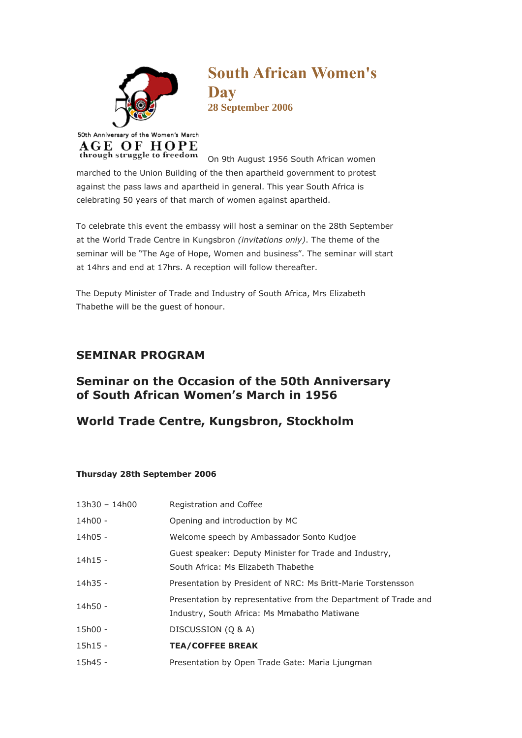

**South African Women's Day 28 September 2006**

On 9th August 1956 South African women marched to the Union Building of the then apartheid government to protest against the pass laws and apartheid in general. This year South Africa is celebrating 50 years of that march of women against apartheid.

To celebrate this event the embassy will host a seminar on the 28th September at the World Trade Centre in Kungsbron *(invitations only)*. The theme of the seminar will be "The Age of Hope, Women and business". The seminar will start at 14hrs and end at 17hrs. A reception will follow thereafter.

The Deputy Minister of Trade and Industry of South Africa, Mrs Elizabeth Thabethe will be the guest of honour.

## **SEMINAR PROGRAM**

## **Seminar on the Occasion of the 50th Anniversary of South African Women's March in 1956**

## **World Trade Centre, Kungsbron, Stockholm**

## **Thursday 28th September 2006**

| 13h30 - 14h00 | Registration and Coffee                                                                                         |
|---------------|-----------------------------------------------------------------------------------------------------------------|
| 14h00 -       | Opening and introduction by MC                                                                                  |
| $14h05 -$     | Welcome speech by Ambassador Sonto Kudjoe                                                                       |
| 14h15 -       | Guest speaker: Deputy Minister for Trade and Industry,<br>South Africa: Ms Elizabeth Thabethe                   |
| 14h35 -       | Presentation by President of NRC: Ms Britt-Marie Torstensson                                                    |
| 14h50 -       | Presentation by representative from the Department of Trade and<br>Industry, South Africa: Ms Mmabatho Matiwane |
| 15h00 -       | DISCUSSION (Q & A)                                                                                              |
| $15h15 -$     | <b>TEA/COFFEE BREAK</b>                                                                                         |
| $15h45 -$     | Presentation by Open Trade Gate: Maria Ljungman                                                                 |